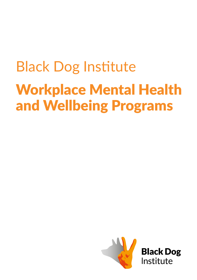# Black Dog Institute Workplace Mental Health and Wellbeing Programs

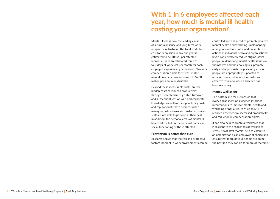### **With 1 in 6 employees affected each year, how much is mental ill health costing your organisation?**

Mental illness is now the leading cause of sickness absence and long-term work incapacity in Australia. The total workplace cost for depression in any one year is estimated to be \$8,025 per affected individual, with an estimated three to four days of work lost per month for each employee experiencing depression. Workers compensation claims for stress-related mental disorders have increased to \$200 million per annum in Australia.

Beyond these measurable costs, are the hidden costs of reduced productivity through presenteeism, high staff turnover and subsequent loss of skills and corporate knowledge, as well as the opportunity costs and reputational risk to business when managers, sales teams and customer service staff are not able to perform at their best. In addition, the personal costs of mental ill health take a toll on the personal, family and social functioning of those affected.

#### **Prevention is better than cure**

Research shows that the risk and protective factors inherent in work environments can be

controlled and enhanced to promote positive mental health and wellbeing. Implementing a range of evidence-informed preventative actions at individual, team and organisational levels can effectively reduce stigma, assist people in identifying mental health issues in themselves and their colleagues, promote early and appropriate help seeking, ensure people are appropriately supported to remain connected to work, or make an effective return to work if absence has been necessary.

#### **Money well spent**

The bottom line for business is that every dollar spent on evidence-informed interventions to improve mental health and wellbeing brings a return of up to \$14 in reduced absenteeism, increased productivity and reduction in compensation claims.

It can also help to create a workforce that is resilient to the challenges of workplace stress, boost staff morale, help to establish an organisation as an employer of choice and ensure that more of your people are doing the best job they can do for more of the time.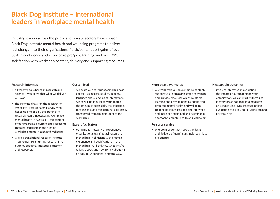### **Black Dog Institute – international leaders in workplace mental health**

Industry leaders across the public and private sectors have chosen Black Dog Institute mental health and wellbeing programs to deliver real change into their organisations. Participants report gains of over 30% in confidence and knowledge pre/post training, and over 99% satisfaction with workshop content, delivery and supporting resources.

#### **Research-informed**

- all that we do is based in research and science – you know that what we deliver will work
- the Institute draws on the research of Associate Professor Sam Harvey, who heads up one of only two psychiatric research teams investigating workplace mental health in Australia – the content of our programs is current and represents thought leadership in the area of workplace mental health and wellbeing
- we're a translational research institute – our expertise is turning research into current, effective, impactful education and resources.

#### **Customised**

• we customise to your specific business context, using case studies, imagery, language and examples of interactions which will be familiar to your people – the training is accessible, the context is recognisable and the learning/skills easily transferred from training room to the workplace.

#### **Expert facilitators**

• our national network of experienced organisational training facilitators are mental health clinicians with practical experience and qualifications in the mental health. They know what they're talking about, and how to talk about it in an easy to understand, practical way.

#### **More than a workshop**

• we work with you to customise content, support you in engaging staff pre-training and provide resources which reinforce learning and provide ongoing support to promote mental health and wellbeing – training becomes less of a one-off event and more of a sustained and sustainable approach to mental health and wellbeing.

#### **Personal service**

• one point of contact makes the design and delivery of training a simple, seamless experience.

### **Measurable outcomes**

• if you're interested in evaluating the impact of our training on your organisation, we can work with you to identify organisational data measures or suggest Black Dog Institute online evaluation tools you could utilise pre and post training.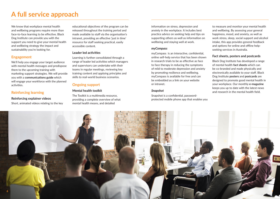## **A full service approach**

We know that workplace mental health and wellbeing programs require more than face-to-face learning to be effective. Black Dog Institute can provide you with the support you need to give your mental health and wellbeing strategy the impact and sustainability you're looking for.

### **Engagement**

We'll help you engage your target audience with mental health messages and predispose them to the upcoming training with marketing support strategies. We will provide you with a **communications guide** which will engage your workforce with the planned activities.

### **Reinforcing learning**

#### **Reinforcing explainer videos**

Short, animated videos relating to the key

educational objectives of the program can be released throughout the training period and made available to staff via the organisation's intranet, providing an effective 'just in time' resource for staff seeking practical, easily accessible content.

### **Leader led activities**

Learning is further consolidated through a range of leader led activities which managers and supervisors can undertake with their teams in regular meetings, reviewing key training content and applying principles and skills to real-world business scenarios.

### **Ongoing support**

### **Mental health toolkit**

The Toolkit is a multimedia resource, providing a complete overview of what mental health means, and detailed

information on stress, depression and anxiety in the workplace. It includes best practice advice on seeking help and tips on supporting others as well as information on wellbeing and staying well at work.

### *myCompass*

myCompass is an interactive, confidential, online self-help service that has been shown in research trials to be as effective as face to face therapy in reducing the symptoms of mild to moderate depression and anxiety by promoting resilience and wellbeing. myCompass is available for free and can be embedded as a link on your website or intranet.

### *Snapshot*

Snapshot is a confidential, passwordprotected mobile phone app that enables you

to measure and monitor your mental health and wellbeing. By assessing your general happiness, mood, and anxiety, as well as work stress, sleep, social support and alcohol intake, this app provides general feedback and options for online and offline helpseeking services in Australia.

### **Fact sheets, posters and postcards**

Black Dog Institute has developed a range of mental health **fact sheets** which can be co-branded and made physically and electronically available to your staff. Black Dog Institute **posters** and **postcards** are designed to promote good mental health in your workplace. Our monthly **e-magazine** keeps you up to date with the latest news and research in the mental health field.

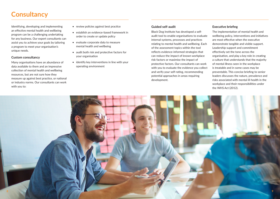## **Consultancy**

Identifying, developing and implementing an effective mental health and wellbeing program can be a challenging undertaking for any business. Our expert consultants can assist you to achieve your goals by tailoring a program to meet your organisation's unique needs.

### **Custom consultancy**

Many organisations have an abundance of data available to them and an impressive collection of mental health and wellbeing resources, but are not sure how they measure up against best practice, or national or industry norms. Our consultants can work with you to:

- review policies against best practice
- establish an evidence-based framework in order to create or update policy
- evaluate corporate data to measure mental health and wellbeing
- audit both risk and protective factors for your organisation
- identify key interventions in line with your operating environment

### **Guided self-audit**

Black Dog Institute has developed a selfaudit tool to enable organisations to evaluate internal systems, processes and practices relating to mental health and wellbeing. Each of the assessment topics within the tool reflects evidence-informed strategies that can reduce the impact of known workplace risk factors or maximise the impact of protective factors. Our consultants can work with you to evaluate the evidence you collect and verify your self-rating, recommending potential approaches in areas requiring development.

### **Executive briefing**

The implementation of mental health and wellbeing policy, interventions and initiatives are most effective when the executive demonstrate tangible and visible support. Leadership support and commitment effectively set the tone across the organisation, and play a key role in creating a culture that understands that the majority of mental illness seen in the workplace is treatable and in some cases may be preventable. This concise briefing to senior leaders discusses the nature, prevalence and risks associated with mental ill-health in the workplace and their responsibilities under the WHS Act (2012).

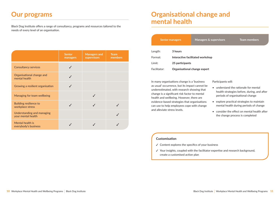### **Our programs**

Black Dog Institute offers a range of consultancy, programs and resources tailored to the needs of every level of an organisation.

|                                                  | <b>Senior</b><br>managers | <b>Managers and</b><br>supervisors | <b>Team</b><br>members |
|--------------------------------------------------|---------------------------|------------------------------------|------------------------|
| <b>Consultancy services</b>                      |                           |                                    |                        |
| Organisational change and<br>mental health       |                           |                                    |                        |
| Growing a resilient organisation                 |                           |                                    |                        |
| Managing for team wellbeing                      |                           |                                    |                        |
| Building resilience to<br>workplace stress       |                           |                                    |                        |
| Understanding and managing<br>your mental health |                           |                                    |                        |
| Mental health is<br>everybody's business         |                           |                                    |                        |

## **Organisational change and mental health**

|              | <b>Senior managers</b>           | Managers & supervisors       | <b>Team members</b> |
|--------------|----------------------------------|------------------------------|---------------------|
| Length:      | 3 hours                          |                              |                     |
| Format:      | Interactive facilitated workshop |                              |                     |
| Limit:       | 25 participants                  |                              |                     |
| Facilitator: |                                  | Organisational change expert |                     |

In many organisations change is a 'business as usual' occurrence, but its impact cannot be underestimated, with research showing that change is a significant risk factor to mental health and wellbeing. However, there are evidence-based strategies that organisations can use to help employees cope with change and alleviate stress levels.

#### Participants will:

- understand the rationale for mental health strategies before, during, and after periods of organisational change
- explore practical strategies to maintain mental health during periods of change
- consider the effect on mental health after the change process is completed

- $\checkmark$  Content explores the specifics of your business
- ✓ Your insights, coupled with the facilitator expertise and research background, create a customised action plan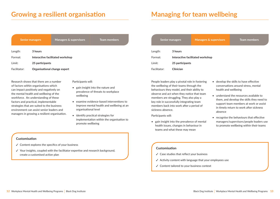### **Growing a resilient organisation**

|         | <b>Senior managers</b>           | <b>Managers &amp; supervisors</b> | <b>Team members</b> |
|---------|----------------------------------|-----------------------------------|---------------------|
| Length: | 3 hours                          |                                   |                     |
| Format: | Interactive facilitated workshop |                                   |                     |
| Limit:  | 25 participants                  |                                   |                     |

Facilitator: **Organisational change expert**

Research shows that there are a number of factors within organisations which can impact positively and negatively on the mental health and wellbeing of the workforce. An understanding of these factors and practical, implementable strategies that are suited to the business environment can assist senior leaders and managers in growing a resilient organisation. Participants will:

- gain insight into the nature and prevalence of threats to workplace wellbeing
- examine evidence-based interventions to improve mental health and wellbeing at an organisational level
- identify practical strategies for implementation within the organisation to promote wellbeing

### Length: **3 hours**  Format: **Interactive facilitated workshop** Limit: **25 participants** Facilitator: **Clinician Senior managers Managers & supervisors Team members**

**Managing for team wellbeing**

People leaders play a pivotal role in fostering the wellbeing of their teams through the behaviours they model, and their ability to observe and act when they notice that team members are struggling. They also play a key role in successfully integrating team members back into work after a period of sickness absence.

Participants will:

• gain insight into the prevalence of mental health issues, changes in behaviour in teams and what these may mean

- develop the skills to have effective conversations around stress, mental health and wellbeing
- understand the resources available to them, and develop the skills they need to support team members at work or assist in timely return to work after sickness absence
- recognise the behaviours that effective managers/supervisors/people leaders use to promote wellbeing within their teams

#### **Customisation**

- ✓ Case studies that reflect your business
- ✓ Activity content with language that your employees use
- ✓ Content tailored to your business context

- $\checkmark$  Content explores the specifics of your business
- ✓ Your insights, coupled with the facilitator expertise and research background, create a customised action plan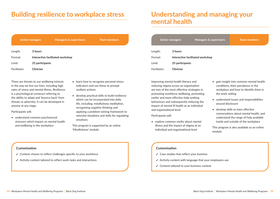### **Building resilience to workplace stress**

|              | <b>Senior managers</b>           | <b>Managers &amp; supervisors</b> | <b>Team members</b> |
|--------------|----------------------------------|-----------------------------------|---------------------|
| Length:      | 3 hours                          |                                   |                     |
| Format:      | Interactive facilitated workshop |                                   |                     |
| Limit:       | 25 participants                  |                                   |                     |
| Facilitator: | Clinician                        |                                   |                     |

There are threats to our wellbeing intrinsic in the way we live our lives, including high rates of stress and mental illness. Resilience is a psychological construct referring to the ability to adapt and 'bounce back' from threats or adversity; it can be developed in anyone at any stage.

Participants will:

• understand common psychosocial stressors which impact on mental health and wellbeing in the workplace

- learn how to recognise personal stress indicators and use these to prompt resilient actions
- develop practical skills to build resilience which can be incorporated into daily life, including: mindfulness meditation, recognising negative thinking and applying a problem-solving framework to stressful situations and skills for regulating emotions

This program is supported by an online 'Mindfulness' module.

### **Understanding and managing your mental health**

| <b>Senior managers</b> |                                  | <b>Managers &amp; supervisors</b> | <b>Team members</b> |
|------------------------|----------------------------------|-----------------------------------|---------------------|
| Length:                | 3 hours                          |                                   |                     |
| Format:                | Interactive facilitated workshop |                                   |                     |
| Limit:                 | 25 participants                  |                                   |                     |
| Facilitator:           | Clinician                        |                                   |                     |

Improving mental health literacy and reducing stigma across an organisation are two of the most effective strategies in promoting workforce wellbeing, promoting earlier and more effective help seeking behaviours and subsequently reducing the impact of mental ill health at an individual and organisational level.

Participants will:

• explore common myths about mental illness and the impact of stigma at an individual and organisational level

- gain insight into common mental health conditions, their prevalence in the workplace and how to identify them in the work setting
- understand issues and responsibilities around disclosure
- develop skills to have effective conversations about mental health, and understand the range of help available inside and outside of the workplace

This program is also available as an online module.

### **Customisation**

- ✓ Case studies that reflect your business
- ✓ Activity content with language that your employees use
- ✓ Content tailored to your business context

- ✓ Content chosen to reflect challenges specific to your workforce
- ✓ Activity content tailored to reflect work tasks and interactions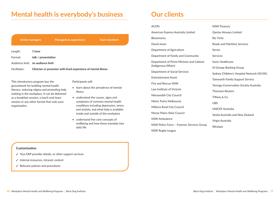### **Mental health is everybody's business**

| <b>Senior managers</b> |                                                                | <b>Managers &amp; supervisors</b> | <b>Team members</b> |
|------------------------|----------------------------------------------------------------|-----------------------------------|---------------------|
| Length:                | 1 hour                                                         |                                   |                     |
| Format:                | talk / presentation                                            |                                   |                     |
|                        | Audience limit: no audience limit                              |                                   |                     |
| Facilitator:           | Clinician or presenter with lived experience of mental illness |                                   |                     |
|                        |                                                                |                                   |                     |

This introductory program lays the groundwork for building mental health literacy, reducing stigma and promoting help seeking in the workplace. It can be delivered as a breakfast session, a lunch-and-learn session or any other format that suits your organisation.

### Participants will:

- learn about the prevalence of mental illness
- understand the causes, signs and symptoms of common mental health conditions including depression, stress and anxiety, and what help is available inside and outside of the workplace
- understand five core concepts of wellbeing and how these translate into daily life

### **Our clients**

| <b>ACON</b>                                | <b>NSW Treasury</b>                       |
|--------------------------------------------|-------------------------------------------|
| American Express Australia Limited         | Qantas Airways Limited                    |
| <b>Blackmores</b>                          | Rio Tinto                                 |
| David Jones                                | Roads and Maritime Services               |
| Department of Agriculture                  | <b>Sensis</b>                             |
| Department of Family and Community         | <b>Services</b>                           |
| Department of Prime Minister and Cabinet   | Sonic Healthcare                          |
| (Indigenous Affairs)                       | <b>St George Banking Group</b>            |
| Department of Social Services              | Sydney Children's Hospital Network (SCHN) |
| <b>Entertainment Assist</b>                | <b>Tamworth Family Support Service</b>    |
| Fire and Rescue NSW                        | Taronga Conservation Society Australia    |
| Law Institute of Victoria                  | <b>Thomson Reuters</b>                    |
| Maroondah City Council                     | Tiffany & Co                              |
| Metro Trains Melbourne                     | <b>UBS</b>                                |
| Mildura Rural City Council                 | <b>UNICEF Australia</b>                   |
| Moree Plains Shire Council                 | Veolia Australia and New Zealand          |
| NSW Ambulance                              | Virgin Australia                          |
| NSW Police Force - Forensic Services Group | Westpac                                   |
| NSW Rugby League                           |                                           |

- ✓ Your EAP provider details, or other support services
- ✓ Internal resources, intranet content
- ✓ Relevant policies and procedures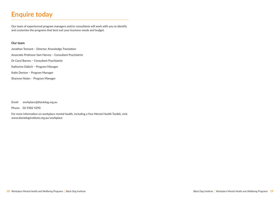## **Enquire today**

Our team of experienced program managers and/or consultants will work with you to identify and customise the programs that best suit your business needs and budget.

#### **Our team**

Jonathan Tennant – Director, Knowledge Translation Associate Professor Sam Harvey – Consultant Psychiatrist Dr Caryl Barnes – Consultant Psychiatrist Katherine Dabich – Program Manager Katie Denton – Program Manager Shannon Nolan – Program Manager

Email: workplace@blackdog.org.au

Phone: 02 9382 9290

For more information on workplace mental health, including a free Mental Health Toolkit, visit: www.blackdoginstitute.org.au/workplace